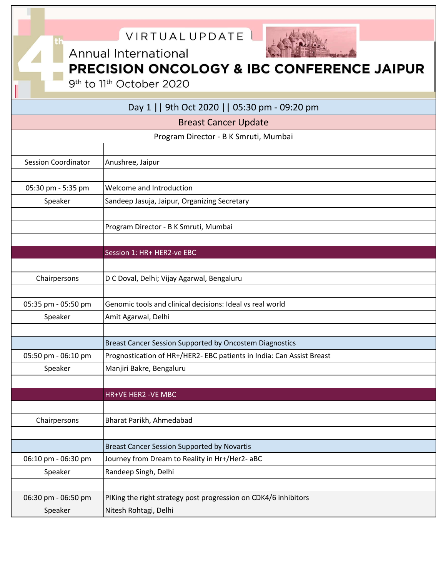|                            | VIRTUALUPDATE                                                         |
|----------------------------|-----------------------------------------------------------------------|
|                            | Annual International                                                  |
|                            | PRECISION ONCOLOGY & IBC CONFERENCE JAIPUR                            |
|                            | 9 <sup>th</sup> to 11 <sup>th</sup> October 2020                      |
|                            |                                                                       |
|                            | Day 1     9th Oct 2020     05:30 pm - 09:20 pm                        |
|                            | <b>Breast Cancer Update</b>                                           |
|                            | Program Director - B K Smruti, Mumbai                                 |
|                            |                                                                       |
| <b>Session Coordinator</b> | Anushree, Jaipur                                                      |
|                            |                                                                       |
| 05:30 pm - 5:35 pm         | Welcome and Introduction                                              |
| Speaker                    | Sandeep Jasuja, Jaipur, Organizing Secretary                          |
|                            |                                                                       |
|                            | Program Director - B K Smruti, Mumbai                                 |
|                            |                                                                       |
|                            | Session 1: HR+ HER2-ve EBC                                            |
|                            |                                                                       |
| Chairpersons               | D C Doval, Delhi; Vijay Agarwal, Bengaluru                            |
| 05:35 pm - 05:50 pm        | Genomic tools and clinical decisions: Ideal vs real world             |
| Speaker                    | Amit Agarwal, Delhi                                                   |
|                            |                                                                       |
|                            | Breast Cancer Session Supported by Oncostem Diagnostics               |
| 05:50 pm - 06:10 pm        | Prognostication of HR+/HER2- EBC patients in India: Can Assist Breast |
| Speaker                    | Manjiri Bakre, Bengaluru                                              |
|                            |                                                                       |
|                            | HR+VE HER2 -VE MBC                                                    |
|                            |                                                                       |
| Chairpersons               | Bharat Parikh, Ahmedabad                                              |
|                            |                                                                       |
|                            | <b>Breast Cancer Session Supported by Novartis</b>                    |
| 06:10 pm - 06:30 pm        | Journey from Dream to Reality in Hr+/Her2- aBC                        |
| Speaker                    | Randeep Singh, Delhi                                                  |
|                            |                                                                       |
| 06:30 pm - 06:50 pm        | PIKing the right strategy post progression on CDK4/6 inhibitors       |
| Speaker                    | Nitesh Rohtagi, Delhi                                                 |